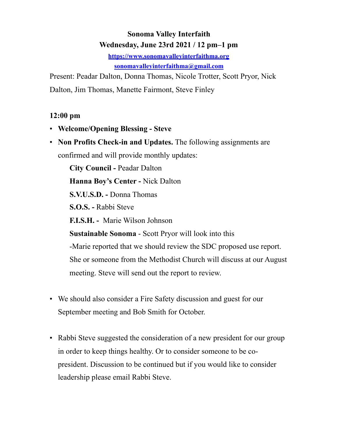# **Sonoma Valley Interfaith Wednesday, June 23rd 2021 / 12 pm–1 pm**

**<https://www.sonomavalleyinterfaithma.org> [sonomavalleyinterfaithma@gmail.com](mailto:sonomavalleyinterfaithma@gmail.com)**

Present: Peadar Dalton, Donna Thomas, Nicole Trotter, Scott Pryor, Nick Dalton, Jim Thomas, Manette Fairmont, Steve Finley

#### **12:00 pm**

- **Welcome/Opening Blessing Steve**
- **Non Profits Check-in and Updates.** The following assignments are confirmed and will provide monthly updates:

**City Council -** Peadar Dalton **Hanna Boy's Center -** Nick Dalton **S.V.U.S.D. -** Donna Thomas **S.O.S. -** Rabbi Steve **F.I.S.H. -** Marie Wilson Johnson **Sustainable Sonoma** - Scott Pryor will look into this -Marie reported that we should review the SDC proposed use report. She or someone from the Methodist Church will discuss at our August meeting. Steve will send out the report to review.

- We should also consider a Fire Safety discussion and guest for our September meeting and Bob Smith for October.
- Rabbi Steve suggested the consideration of a new president for our group in order to keep things healthy. Or to consider someone to be copresident. Discussion to be continued but if you would like to consider leadership please email Rabbi Steve.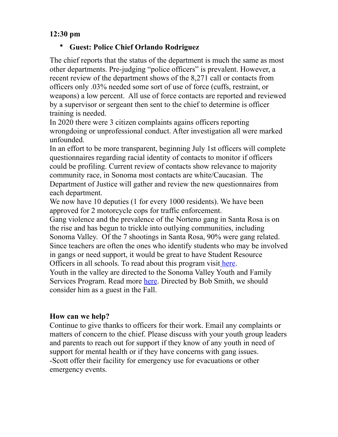#### **12:30 pm**

#### • **Guest: Police Chief Orlando Rodriguez**

The chief reports that the status of the department is much the same as most other departments. Pre-judging "police officers" is prevalent. However, a recent review of the department shows of the 8,271 call or contacts from officers only .03% needed some sort of use of force (cuffs, restraint, or weapons) a low percent. All use of force contacts are reported and reviewed by a supervisor or sergeant then sent to the chief to determine is officer training is needed.

In 2020 there were 3 citizen complaints agains officers reporting wrongdoing or unprofessional conduct. After investigation all were marked unfounded.

In an effort to be more transparent, beginning July 1st officers will complete questionnaires regarding racial identity of contacts to monitor if officers could be profiling. Current review of contacts show relevance to majority community race, in Sonoma most contacts are white/Caucasian. The Department of Justice will gather and review the new questionnaires from each department.

We now have 10 deputies (1 for every 1000 residents). We have been approved for 2 motorcycle cops for traffic enforcement.

Gang violence and the prevalence of the Norteno gang in Santa Rosa is on the rise and has begun to trickle into outlying communities, including Sonoma Valley. Of the 7 shootings in Santa Rosa, 90% were gang related. Since teachers are often the ones who identify students who may be involved in gangs or need support, it would be great to have Student Resource Officers in all schools. To read about this program visit [here](https://santarosasheriff.org/school-resource-officers-sro/).

Youth in the valley are directed to the Sonoma Valley Youth and Family Services Program. Read more [here.](https://www.sonomacity.org/sonoma-valley-youth-family-services/) Directed by Bob Smith, we should consider him as a guest in the Fall.

### **How can we help?**

Continue to give thanks to officers for their work. Email any complaints or matters of concern to the chief. Please discuss with your youth group leaders and parents to reach out for support if they know of any youth in need of support for mental health or if they have concerns with gang issues. -Scott offer their facility for emergency use for evacuations or other emergency events.